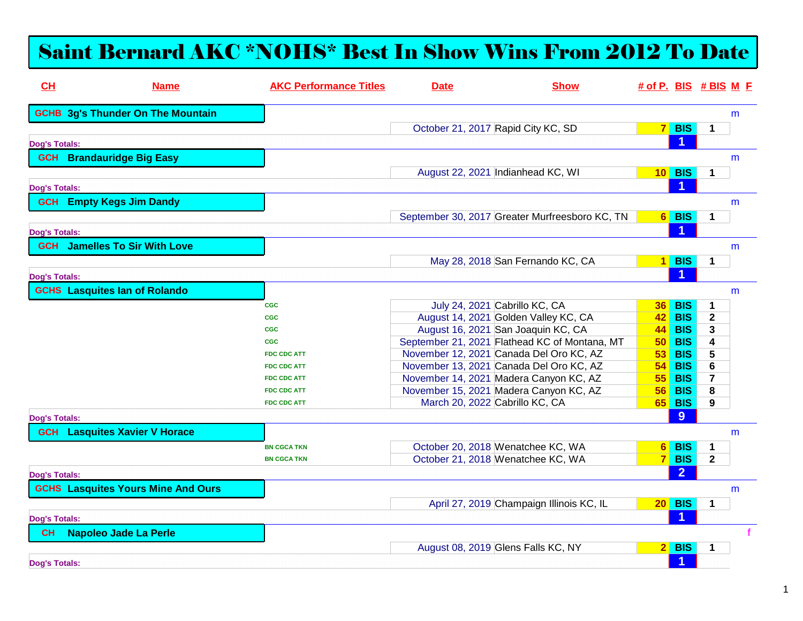## Saint Bernard AKC \*NOHS\* Best In Show Wins From 2012 To Date

| CH                   | <b>Name</b>                               | <b>AKC Performance Titles</b> | <b>Date</b>                    | <b>Show</b>                                    | $\#$ of P. BIS $\#$ BIS M F |                      |                            |   |
|----------------------|-------------------------------------------|-------------------------------|--------------------------------|------------------------------------------------|-----------------------------|----------------------|----------------------------|---|
|                      | <b>GCHB 3g's Thunder On The Mountain</b>  |                               |                                |                                                |                             |                      |                            | m |
|                      |                                           |                               |                                | October 21, 2017 Rapid City KC, SD             |                             | $7$ BIS              | $\mathbf 1$                |   |
| <b>Dog's Totals:</b> |                                           |                               |                                |                                                |                             | 1                    |                            |   |
|                      | <b>GCH</b> Brandauridge Big Easy          |                               |                                |                                                |                             |                      |                            | m |
|                      |                                           |                               |                                | August 22, 2021 Indianhead KC, WI              |                             | <b>10 BIS</b>        | $\mathbf 1$                |   |
|                      |                                           |                               |                                |                                                |                             | 1                    |                            |   |
| <b>Dog's Totals:</b> |                                           |                               |                                |                                                |                             |                      |                            |   |
|                      | <b>GCH</b> Empty Kegs Jim Dandy           |                               |                                |                                                |                             |                      |                            | m |
|                      |                                           |                               |                                | September 30, 2017 Greater Murfreesboro KC, TN |                             | 6 BIS                | $\mathbf 1$                |   |
| <b>Dog's Totals:</b> |                                           |                               |                                |                                                |                             | 1                    |                            |   |
|                      | <b>GCH</b> Jamelles To Sir With Love      |                               |                                |                                                |                             |                      |                            | m |
|                      |                                           |                               |                                | May 28, 2018 San Fernando KC, CA               |                             | $1$ BIS              | $\mathbf 1$                |   |
| <b>Dog's Totals:</b> |                                           |                               |                                |                                                |                             | 1                    |                            |   |
|                      | <b>GCHS</b> Lasquites lan of Rolando      |                               |                                |                                                |                             |                      |                            | m |
|                      |                                           |                               |                                | July 24, 2021 Cabrillo KC, CA                  |                             | <b>BIS</b>           |                            |   |
|                      |                                           | <b>CGC</b><br><b>CGC</b>      |                                | August 14, 2021 Golden Valley KC, CA           | 36 <sup>1</sup>             | <b>42 BIS</b>        | $\mathbf 1$<br>$\mathbf 2$ |   |
|                      |                                           | <b>CGC</b>                    |                                | August 16, 2021 San Joaquin KC, CA             |                             | <b>44 BIS</b>        | 3                          |   |
|                      |                                           | <b>CGC</b>                    |                                | September 21, 2021 Flathead KC of Montana, MT  |                             | <b>50 BIS</b>        | 4                          |   |
|                      |                                           | <b>FDC CDC ATT</b>            |                                | November 12, 2021 Canada Del Oro KC, AZ        |                             | <b>53 BIS</b>        | 5                          |   |
|                      |                                           | <b>FDC CDC ATT</b>            |                                | November 13, 2021 Canada Del Oro KC, AZ        | 54 <sup>2</sup>             | <b>BIS</b>           | 6                          |   |
|                      |                                           | <b>FDC CDC ATT</b>            |                                | November 14, 2021 Madera Canyon KC, AZ         | 55 <sup>1</sup>             | <b>BIS</b>           | $\overline{7}$             |   |
|                      |                                           | <b>FDC CDC ATT</b>            |                                | November 15, 2021 Madera Canyon KC, AZ         | 56 <sup>1</sup>             | <b>BIS</b>           | 8                          |   |
|                      |                                           | <b>FDC CDC ATT</b>            | March 20, 2022 Cabrillo KC, CA |                                                |                             | <b>65 BIS</b>        | 9                          |   |
| <b>Dog's Totals:</b> |                                           |                               |                                |                                                |                             | 9                    |                            |   |
| <b>GCH</b>           | <b>Lasquites Xavier V Horace</b>          |                               |                                |                                                |                             |                      |                            | m |
|                      |                                           | <b>BN CGCA TKN</b>            |                                | October 20, 2018 Wenatchee KC, WA              | $6 \mid$                    | <b>BIS</b>           | $\mathbf 1$                |   |
|                      |                                           | <b>BN CGCA TKN</b>            |                                | October 21, 2018 Wenatchee KC, WA              |                             | $7$ BIS              | $\mathbf{2}$               |   |
| <b>Dog's Totals:</b> |                                           |                               |                                |                                                |                             | $\overline{2}$       |                            |   |
|                      | <b>GCHS Lasquites Yours Mine And Ours</b> |                               |                                |                                                |                             |                      |                            | m |
|                      |                                           |                               |                                | April 27, 2019 Champaign Illinois KC, IL       |                             | $20$ BIS             | $\mathbf 1$                |   |
| <b>Dog's Totals:</b> |                                           |                               |                                |                                                |                             | $\blacktriangleleft$ |                            |   |
| <b>CH</b>            | <b>Napoleo Jade La Perle</b>              |                               |                                |                                                |                             |                      |                            |   |
|                      |                                           |                               |                                | August 08, 2019 Glens Falls KC, NY             |                             | $2$ BIS              | $\mathbf 1$                |   |
| <b>Dog's Totals:</b> |                                           |                               |                                |                                                |                             | $\blacktriangleleft$ |                            |   |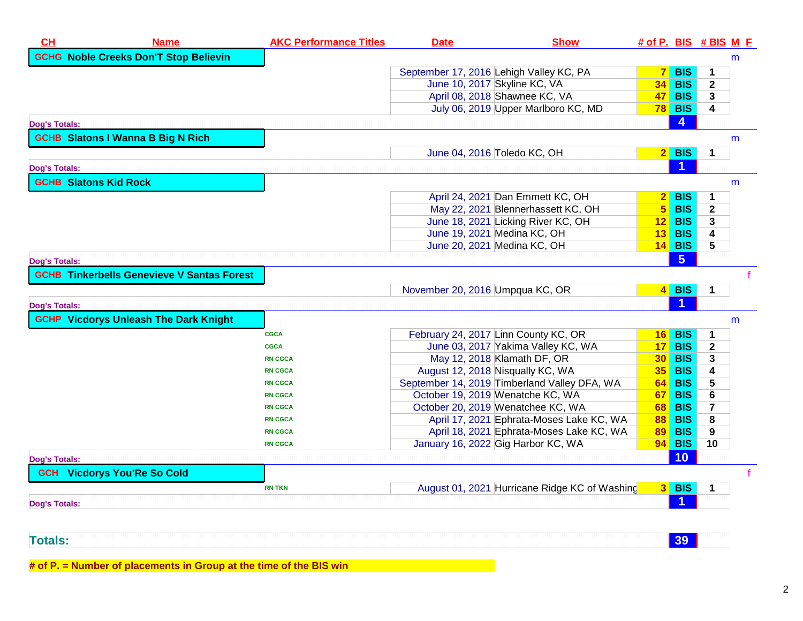| CL                           | <b>Name</b>                                       | <b>AKC Performance Titles</b> | <b>Date</b>                             | <b>Show</b>                                   | $#$ of P. BIS $#$ BIS M E |                      |              |   |
|------------------------------|---------------------------------------------------|-------------------------------|-----------------------------------------|-----------------------------------------------|---------------------------|----------------------|--------------|---|
|                              | <b>GCHG Noble Creeks Don'T Stop Believin</b>      |                               |                                         |                                               |                           |                      |              | m |
|                              |                                                   |                               | September 17, 2016 Lehigh Valley KC, PA |                                               | 7 <sup>1</sup>            | <b>BIS</b>           | 1            |   |
|                              |                                                   |                               | June 10, 2017 Skyline KC, VA            |                                               | 34 <sup>1</sup>           | <b>BIS</b>           | $\mathbf{2}$ |   |
|                              |                                                   |                               | April 08, 2018 Shawnee KC, VA           |                                               |                           | <b>47 BIS</b>        | 3            |   |
|                              |                                                   |                               |                                         | July 06, 2019 Upper Marlboro KC, MD           |                           | <b>78 BIS</b>        | 4            |   |
| <b>Dog's Totals:</b>         |                                                   |                               |                                         |                                               |                           | 4                    |              |   |
|                              | <b>GCHB Slatons I Wanna B Big N Rich</b>          |                               |                                         |                                               |                           |                      |              | m |
|                              |                                                   |                               | June 04, 2016 Toledo KC, OH             |                                               |                           | $2$ BIS              | $\mathbf 1$  |   |
| <b>Dog's Totals:</b>         |                                                   |                               |                                         |                                               |                           | $\blacktriangleleft$ |              |   |
| <b>GCHB Slatons Kid Rock</b> |                                                   |                               |                                         |                                               |                           |                      |              | m |
|                              |                                                   |                               |                                         | April 24, 2021 Dan Emmett KC, OH              |                           | $2$ BIS              | 1            |   |
|                              |                                                   |                               |                                         | May 22, 2021 Blennerhassett KC, OH            |                           | $5$ BIS              | $\mathbf{2}$ |   |
|                              |                                                   |                               |                                         | June 18, 2021 Licking River KC, OH            | 12 <sup>1</sup>           | <b>BIS</b>           | 3            |   |
|                              |                                                   |                               | June 19, 2021 Medina KC, OH             |                                               | 13 <sup>1</sup>           | <b>BIS</b>           | 4            |   |
|                              |                                                   |                               | June 20, 2021 Medina KC, OH             |                                               |                           | $14$ BIS             | 5            |   |
| <b>Dog's Totals:</b>         |                                                   |                               |                                         |                                               |                           | 5 <sub>5</sub>       |              |   |
|                              | <b>GCHB Tinkerbells Genevieve V Santas Forest</b> |                               |                                         |                                               |                           |                      |              |   |
|                              |                                                   |                               | November 20, 2016 Umpqua KC, OR         |                                               |                           | $4$ BIS              | $\mathbf 1$  |   |
| <b>Dog's Totals:</b>         |                                                   |                               |                                         |                                               |                           |                      |              |   |
|                              | <b>GCHP Vicdorys Unleash The Dark Knight</b>      |                               |                                         |                                               |                           |                      |              | m |
|                              |                                                   | <b>CGCA</b>                   | February 24, 2017 Linn County KC, OR    |                                               |                           | $16$ BIS             | 1            |   |
|                              |                                                   | <b>CGCA</b>                   |                                         | June 03, 2017 Yakima Valley KC, WA            | 17 <sup>1</sup>           | <b>BIS</b>           | $\mathbf{2}$ |   |
|                              |                                                   | <b>RN CGCA</b>                | May 12, 2018 Klamath DF, OR             |                                               |                           | <b>30 BIS</b>        | 3            |   |
|                              |                                                   | <b>RN CGCA</b>                | August 12, 2018 Nisqually KC, WA        |                                               | 35 <sup>2</sup>           | <b>BIS</b>           | 4            |   |
|                              |                                                   | <b>RN CGCA</b>                |                                         | September 14, 2019 Timberland Valley DFA, WA  |                           | 64 BIS               | 5            |   |
|                              |                                                   | <b>RN CGCA</b>                | October 19, 2019 Wenatche KC, WA        |                                               |                           | <b>67 BIS</b>        | 6            |   |
|                              |                                                   | <b>RN CGCA</b>                | October 20, 2019 Wenatchee KC, WA       |                                               |                           | <b>68 BIS</b>        | 7            |   |
|                              |                                                   | <b>RN CGCA</b>                |                                         | April 17, 2021 Ephrata-Moses Lake KC, WA      | <b>88</b>                 | <b>BIS</b>           | 8            |   |
|                              |                                                   | <b>RN CGCA</b>                |                                         | April 18, 2021 Ephrata-Moses Lake KC, WA      | 89                        | <b>BIS</b>           | 9            |   |
|                              |                                                   | <b>RN CGCA</b>                | January 16, 2022 Gig Harbor KC, WA      |                                               |                           | <b>94 BIS</b>        | 10           |   |
| <b>Dog's Totals:</b>         |                                                   |                               |                                         |                                               |                           | 10                   |              |   |
|                              | <b>GCH</b> Vicdorys You'Re So Cold                |                               |                                         |                                               |                           |                      |              |   |
|                              |                                                   | <b>RN TKN</b>                 |                                         | August 01, 2021 Hurricane Ridge KC of Washing |                           | $3$ BIS              | 1            |   |
| <b>Dog's Totals:</b>         |                                                   |                               |                                         |                                               |                           |                      |              |   |
|                              |                                                   |                               |                                         |                                               |                           |                      |              |   |

**<sup>39</sup>**

**# of P. = Number of placements in Group at the time of the BIS win**